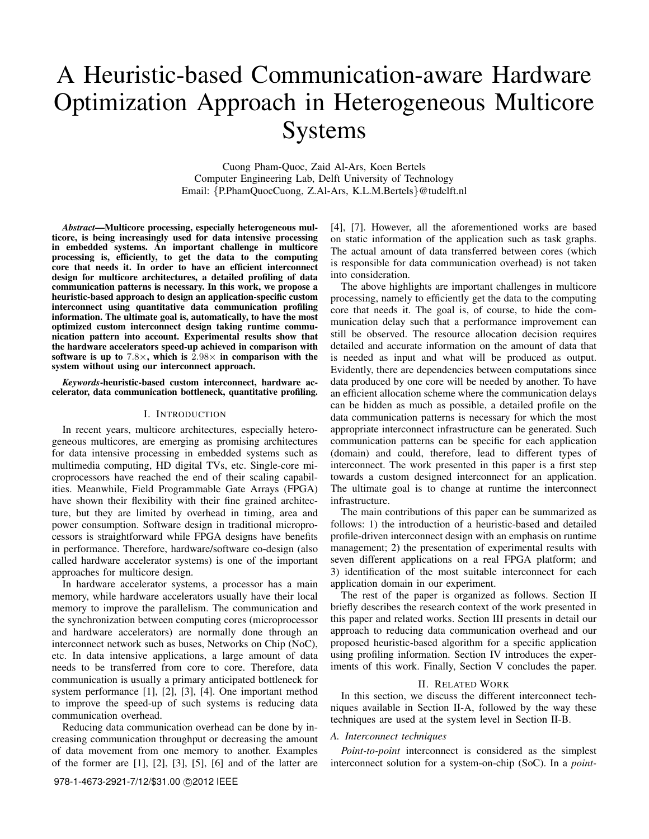# A Heuristic-based Communication-aware Hardware Optimization Approach in Heterogeneous Multicore Systems

Cuong Pham-Quoc, Zaid Al-Ars, Koen Bertels Computer Engineering Lab, Delft University of Technology Email: {P.PhamQuocCuong, Z.Al-Ars, K.L.M.Bertels}@tudelft.nl

*Abstract*—Multicore processing, especially heterogeneous multicore, is being increasingly used for data intensive processing in embedded systems. An important challenge in multicore processing is, efficiently, to get the data to the computing core that needs it. In order to have an efficient interconnect design for multicore architectures, a detailed profiling of data communication patterns is necessary. In this work, we propose a heuristic-based approach to design an application-specific custom interconnect using quantitative data communication profiling information. The ultimate goal is, automatically, to have the most optimized custom interconnect design taking runtime communication pattern into account. Experimental results show that the hardware accelerators speed-up achieved in comparison with software is up to 7.8 $\times$ , which is 2.98 $\times$  in comparison with the system without using our interconnect approach.

*Keywords*-heuristic-based custom interconnect, hardware accelerator, data communication bottleneck, quantitative profiling.

# I. INTRODUCTION

In recent years, multicore architectures, especially heterogeneous multicores, are emerging as promising architectures for data intensive processing in embedded systems such as multimedia computing, HD digital TVs, etc. Single-core microprocessors have reached the end of their scaling capabilities. Meanwhile, Field Programmable Gate Arrays (FPGA) have shown their flexibility with their fine grained architecture, but they are limited by overhead in timing, area and power consumption. Software design in traditional microprocessors is straightforward while FPGA designs have benefits in performance. Therefore, hardware/software co-design (also called hardware accelerator systems) is one of the important approaches for multicore design.

In hardware accelerator systems, a processor has a main memory, while hardware accelerators usually have their local memory to improve the parallelism. The communication and the synchronization between computing cores (microprocessor and hardware accelerators) are normally done through an interconnect network such as buses, Networks on Chip (NoC), etc. In data intensive applications, a large amount of data needs to be transferred from core to core. Therefore, data communication is usually a primary anticipated bottleneck for system performance [1], [2], [3], [4]. One important method to improve the speed-up of such systems is reducing data communication overhead.

Reducing data communication overhead can be done by increasing communication throughput or decreasing the amount of data movement from one memory to another. Examples of the former are  $[1]$ ,  $[2]$ ,  $[3]$ ,  $[5]$ ,  $[6]$  and of the latter are

978-1-4673-2921-7/12/\$31.00 ©2012 IEEE

[4], [7]. However, all the aforementioned works are based on static information of the application such as task graphs. The actual amount of data transferred between cores (which is responsible for data communication overhead) is not taken into consideration.

The above highlights are important challenges in multicore processing, namely to efficiently get the data to the computing core that needs it. The goal is, of course, to hide the communication delay such that a performance improvement can still be observed. The resource allocation decision requires detailed and accurate information on the amount of data that is needed as input and what will be produced as output. Evidently, there are dependencies between computations since data produced by one core will be needed by another. To have an efficient allocation scheme where the communication delays can be hidden as much as possible, a detailed profile on the data communication patterns is necessary for which the most appropriate interconnect infrastructure can be generated. Such communication patterns can be specific for each application (domain) and could, therefore, lead to different types of interconnect. The work presented in this paper is a first step towards a custom designed interconnect for an application. The ultimate goal is to change at runtime the interconnect infrastructure.

The main contributions of this paper can be summarized as follows: 1) the introduction of a heuristic-based and detailed profile-driven interconnect design with an emphasis on runtime management; 2) the presentation of experimental results with seven different applications on a real FPGA platform; and 3) identification of the most suitable interconnect for each application domain in our experiment.

The rest of the paper is organized as follows. Section II briefly describes the research context of the work presented in this paper and related works. Section III presents in detail our approach to reducing data communication overhead and our proposed heuristic-based algorithm for a specific application using profiling information. Section IV introduces the experiments of this work. Finally, Section V concludes the paper.

# II. RELATED WORK

In this section, we discuss the different interconnect techniques available in Section II-A, followed by the way these techniques are used at the system level in Section II-B.

#### *A. Interconnect techniques*

*Point-to-point* interconnect is considered as the simplest interconnect solution for a system-on-chip (SoC). In a *point-*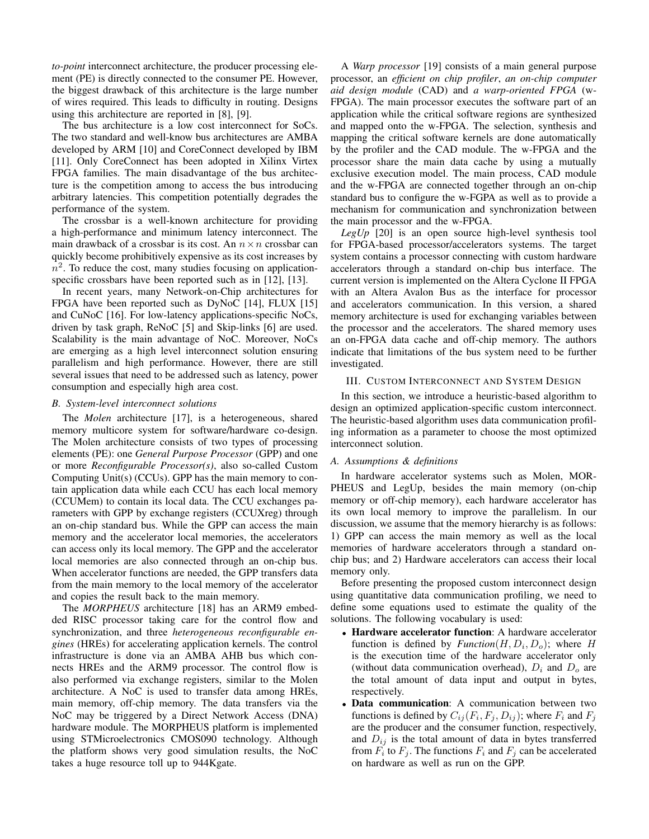*to-point* interconnect architecture, the producer processing element (PE) is directly connected to the consumer PE. However, the biggest drawback of this architecture is the large number of wires required. This leads to difficulty in routing. Designs using this architecture are reported in [8], [9].

The bus architecture is a low cost interconnect for SoCs. The two standard and well-know bus architectures are AMBA developed by ARM [10] and CoreConnect developed by IBM [11]. Only CoreConnect has been adopted in Xilinx Virtex FPGA families. The main disadvantage of the bus architecture is the competition among to access the bus introducing arbitrary latencies. This competition potentially degrades the performance of the system.

The crossbar is a well-known architecture for providing a high-performance and minimum latency interconnect. The main drawback of a crossbar is its cost. An  $n \times n$  crossbar can quickly become prohibitively expensive as its cost increases by  $n<sup>2</sup>$ . To reduce the cost, many studies focusing on applicationspecific crossbars have been reported such as in [12], [13].

In recent years, many Network-on-Chip architectures for FPGA have been reported such as DyNoC [14], FLUX [15] and CuNoC [16]. For low-latency applications-specific NoCs, driven by task graph, ReNoC [5] and Skip-links [6] are used. Scalability is the main advantage of NoC. Moreover, NoCs are emerging as a high level interconnect solution ensuring parallelism and high performance. However, there are still several issues that need to be addressed such as latency, power consumption and especially high area cost.

# *B. System-level interconnect solutions*

The *Molen* architecture [17], is a heterogeneous, shared memory multicore system for software/hardware co-design. The Molen architecture consists of two types of processing elements (PE): one *General Purpose Processor* (GPP) and one or more *Reconfigurable Processor(s)*, also so-called Custom Computing Unit(s) (CCUs). GPP has the main memory to contain application data while each CCU has each local memory (CCUMem) to contain its local data. The CCU exchanges parameters with GPP by exchange registers (CCUXreg) through an on-chip standard bus. While the GPP can access the main memory and the accelerator local memories, the accelerators can access only its local memory. The GPP and the accelerator local memories are also connected through an on-chip bus. When accelerator functions are needed, the GPP transfers data from the main memory to the local memory of the accelerator and copies the result back to the main memory.

The *MORPHEUS* architecture [18] has an ARM9 embedded RISC processor taking care for the control flow and synchronization, and three *heterogeneous reconfigurable engines* (HREs) for accelerating application kernels. The control infrastructure is done via an AMBA AHB bus which connects HREs and the ARM9 processor. The control flow is also performed via exchange registers, similar to the Molen architecture. A NoC is used to transfer data among HREs, main memory, off-chip memory. The data transfers via the NoC may be triggered by a Direct Network Access (DNA) hardware module. The MORPHEUS platform is implemented using STMicroelectronics CMOS090 technology. Although the platform shows very good simulation results, the NoC takes a huge resource toll up to 944Kgate.

A *Warp processor* [19] consists of a main general purpose processor, an *efficient on chip profiler*, *an on-chip computer aid design module* (CAD) and *a warp-oriented FPGA* (w-FPGA). The main processor executes the software part of an application while the critical software regions are synthesized and mapped onto the w-FPGA. The selection, synthesis and mapping the critical software kernels are done automatically by the profiler and the CAD module. The w-FPGA and the processor share the main data cache by using a mutually exclusive execution model. The main process, CAD module and the w-FPGA are connected together through an on-chip standard bus to configure the w-FGPA as well as to provide a mechanism for communication and synchronization between the main processor and the w-FPGA.

*LegUp* [20] is an open source high-level synthesis tool for FPGA-based processor/accelerators systems. The target system contains a processor connecting with custom hardware accelerators through a standard on-chip bus interface. The current version is implemented on the Altera Cyclone II FPGA with an Altera Avalon Bus as the interface for processor and accelerators communication. In this version, a shared memory architecture is used for exchanging variables between the processor and the accelerators. The shared memory uses an on-FPGA data cache and off-chip memory. The authors indicate that limitations of the bus system need to be further investigated.

#### III. CUSTOM INTERCONNECT AND SYSTEM DESIGN

In this section, we introduce a heuristic-based algorithm to design an optimized application-specific custom interconnect. The heuristic-based algorithm uses data communication profiling information as a parameter to choose the most optimized interconnect solution.

# *A. Assumptions & definitions*

In hardware accelerator systems such as Molen, MOR-PHEUS and LegUp, besides the main memory (on-chip memory or off-chip memory), each hardware accelerator has its own local memory to improve the parallelism. In our discussion, we assume that the memory hierarchy is as follows: 1) GPP can access the main memory as well as the local memories of hardware accelerators through a standard onchip bus; and 2) Hardware accelerators can access their local memory only.

Before presenting the proposed custom interconnect design using quantitative data communication profiling, we need to define some equations used to estimate the quality of the solutions. The following vocabulary is used:

- Hardware accelerator function: A hardware accelerator function is defined by  $Function(H, D_i, D_o)$ ; where H is the execution time of the hardware accelerator only (without data communication overhead),  $D_i$  and  $D_o$  are the total amount of data input and output in bytes, respectively.
- Data communication: A communication between two functions is defined by  $C_{ij}(F_i, F_j, D_{ij})$ ; where  $F_i$  and  $F_j$ are the producer and the consumer function, respectively, and  $D_{ij}$  is the total amount of data in bytes transferred from  $F_i$  to  $F_j$ . The functions  $F_i$  and  $F_j$  can be accelerated on hardware as well as run on the GPP.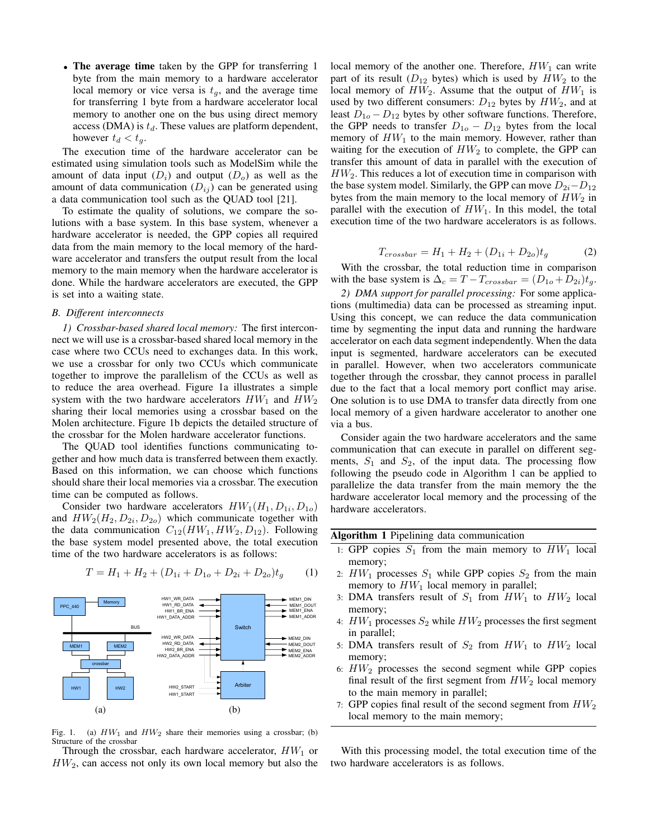• The average time taken by the GPP for transferring 1 byte from the main memory to a hardware accelerator local memory or vice versa is  $t<sub>g</sub>$ , and the average time for transferring 1 byte from a hardware accelerator local memory to another one on the bus using direct memory access (DMA) is  $t_d$ . These values are platform dependent, however  $t_d < t_g$ .

The execution time of the hardware accelerator can be estimated using simulation tools such as ModelSim while the amount of data input  $(D_i)$  and output  $(D_o)$  as well as the amount of data communication  $(D_{ij})$  can be generated using a data communication tool such as the QUAD tool [21].

To estimate the quality of solutions, we compare the solutions with a base system. In this base system, whenever a hardware accelerator is needed, the GPP copies all required data from the main memory to the local memory of the hardware accelerator and transfers the output result from the local memory to the main memory when the hardware accelerator is done. While the hardware accelerators are executed, the GPP is set into a waiting state.

# *B. Different interconnects*

*1)* Crossbar-based shared local memory: The first intercon-<br>ti nect we will use is a crossbar-based shared local memory in the added on the can can choose which functions of  $\mathbb{R}^n$ . case where two CCUs need to exchanges data. In this work, case where two CCOs need to exchanges data. In this work, If we use a crossbar for only two CCUs which communicate in together to improve the parallelism of the CCUs as well as to reduce the area overhead. Figure 1a illustrates a simple di system with the two hardware accelerators  $HW_1$  and  $HW_2$  O sharing their local memories using a crossbar based on the sharing their local memories using a crossbar based on the  $\frac{1}{10}$ <br>Molen architecture. Figure 1b depicts the detailed structure of  $\frac{1}{10}$ the crossbar for the Molen hardware accelerator functions.

The QUAD tool identifies functions communicating together and how much data is transferred between them exactly. Based on this information, we can choose which functions  $\frac{H}{f}$ should share their local memories via a crossbar. The execution time can be computed as follows.  $\frac{1}{2}$  the execution time can be computed as follows.

Consider two hardware accelerators  $HW_1(H_1, D_{1i}, D_{1o})$  h and  $HW_2(H_2, D_{2i}, D_{2o})$  which communicate together with the data communication  $C_{12}(HW_1, HW_2, D_{12})$ . Following  $\overline{A}$ the base system model presented above, the total execution time of the two hardware accelerators is as follows:

$$
T = H_1 + H_2 + (D_{1i} + D_{1o} + D_{2i} + D_{2o})t_g \tag{1}
$$



Fig. 1. (a)  $HW_1$  and  $HW_2$  share their memories using a crossbar; (b) Structure of the crossbar

 $HW_2$ , can access not only its own local memory but also the ty Through the crossbar, each hardware accelerator,  $HW_1$  or

local memory of the another one. Therefore,  $HW_1$  can write part of its result ( $D_{12}$  bytes) which is used by  $HW_2$  to the local memory of  $HW_2$ . Assume that the output of  $HW_1$  is used by two different consumers:  $D_{12}$  bytes by  $HW_2$ , and at least  $D_{1o} - D_{12}$  bytes by other software functions. Therefore, the GPP needs to transfer  $D_{1o} - D_{12}$  bytes from the local memory of  $HW_1$  to the main memory. However, rather than waiting for the execution of  $HW_2$  to complete, the GPP can transfer this amount of data in parallel with the execution of  $HW<sub>2</sub>$ . This reduces a lot of execution time in comparison with the base system model. Similarly, the GPP can move  $D_{2i}-D_{12}$ bytes from the main memory to the local memory of  $HW_2$  in parallel with the execution of  $HW_1$ . In this model, the total execution time of the two hardware accelerators is as follows.

$$
T_{crossbar} = H_1 + H_2 + (D_{1i} + D_{2o})t_g \tag{2}
$$

With the crossbar, the total reduction time in comparison with the base system is  $\Delta_c = T - T_{crossbar} = (D_{1o} + D_{2i})t_g$ .

*2) DMA support for parallel processing:* For some applications (multimedia) data can be processed as streaming input. Using this concept, we can reduce the data communication time by segmenting the input data and running the hardware accelerator on each data segment independently. When the data input is segmented, hardware accelerators can be executed in parallel. However, when two accelerators communicate together through the crossbar, they cannot process in parallel due to the fact that a local memory port conflict may arise. One solution is to use DMA to transfer data directly from one local memory of a given hardware accelerator to another one via a bus.

Consider again the two hardware accelerators and the same communication that can execute in parallel on different segments,  $S_1$  and  $S_2$ , of the input data. The processing flow following the pseudo code in Algorithm 1 can be applied to parallelize the data transfer from the main memory the the hardware accelerator local memory and the processing of the hardware accelerators.

Algorithm 1 Pipelining data communication

- 1: GPP copies  $S_1$  from the main memory to  $HW_1$  local memory;
- 2:  $HW_1$  processes  $S_1$  while GPP copies  $S_2$  from the main memory to  $HW<sub>1</sub>$  local memory in parallel;
- 3: DMA transfers result of  $S_1$  from  $HW_1$  to  $HW_2$  local memory;
- 4:  $HW_1$  processes  $S_2$  while  $HW_2$  processes the first segment in parallel;
- 5: DMA transfers result of  $S_2$  from  $HW_1$  to  $HW_2$  local memory;
- 6:  $HW<sub>2</sub>$  processes the second segment while GPP copies final result of the first segment from  $HW_2$  local memory to the main memory in parallel;
- 7: GPP copies final result of the second segment from  $HW_2$ local memory to the main memory;

With this processing model, the total execution time of the two hardware accelerators is as follows.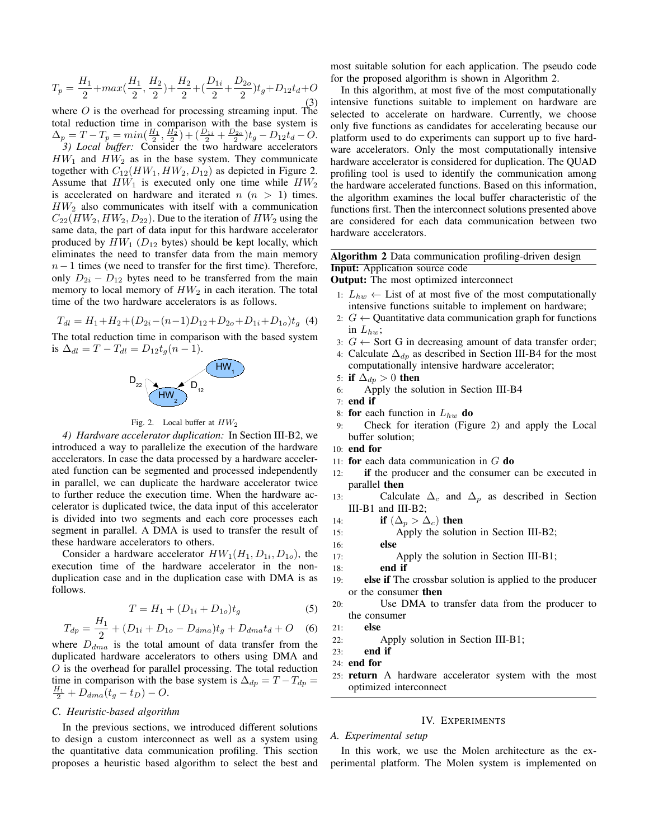$$
T_p = \frac{H_1}{2} + max(\frac{H_1}{2}, \frac{H_2}{2}) + \frac{H_2}{2} + (\frac{D_{1i}}{2} + \frac{D_{2o}}{2})t_g + D_{12}t_d + O
$$
\n(3)

where  $O$  is the overhead for processing streaming input. The total reduction time in comparison with the base system is  $\Delta_p = T - T_p = min(\frac{H_1}{2}, \frac{H_2}{2}) + (\frac{D_{1i}}{2} + \frac{D_{2o}}{2})t_g - D_{12}t_d - O.$ 

*3) Local buffer:* Consider the two hardware accelerators  $HW_1$  and  $HW_2$  as in the base system. They communicate together with  $C_{12}(HW_1, HW_2, D_{12})$  as depicted in Figure 2. Assume that  $HW_1$  is executed only one time while  $HW_2$ is accelerated on hardware and iterated  $n (n > 1)$  times.  $HW<sub>2</sub>$  also communicates with itself with a communication  $C_{22}(HW_2, HW_2, D_{22})$ . Due to the iteration of  $HW_2$  using the same data, the part of data input for this hardware accelerator produced by  $HW_1$  ( $D_{12}$  bytes) should be kept locally, which eliminates the need to transfer data from the main memory  $n-1$  times (we need to transfer for the first time). Therefore, only  $D_{2i} - D_{12}$  bytes need to be transferred from the main memory to local memory of  $HW_2$  in each iteration. The total time of the two hardware accelerators is as follows.

$$
T_{dl} = H_1 + H_2 + (D_{2i} - (n-1)D_{12} + D_{2o} + D_{1i} + D_{1o})t_g
$$
 (4)

The total reduction time in comparison with the based system is  $\Delta_{dl} = T - T_{dl} = D_{12}t_g(n-1)$ .



#### Fig. 2. Local buffer at HW<sup>2</sup>

*4) Hardware accelerator duplication:* In Section III-B2, we introduced a way to parallelize the execution of the hardware accelerators. In case the data processed by a hardware accelerated function can be segmented and processed independently in parallel, we can duplicate the hardware accelerator twice to further reduce the execution time. When the hardware accelerator is duplicated twice, the data input of this accelerator is divided into two segments and each core processes each segment in parallel. A DMA is used to transfer the result of these hardware accelerators to others.

Consider a hardware accelerator  $HW_1(H_1, D_{1i}, D_{1o})$ , the execution time of the hardware accelerator in the nonduplication case and in the duplication case with DMA is as follows.

$$
T = H_1 + (D_{1i} + D_{1o})t_g \tag{5}
$$

$$
T_{dp} = \frac{H_1}{2} + (D_{1i} + D_{1o} - D_{dma})t_g + D_{dma}t_d + O \quad (6)
$$

where  $D_{dma}$  is the total amount of data transfer from the duplicated hardware accelerators to others using DMA and  $O$  is the overhead for parallel processing. The total reduction time in comparison with the base system is  $\Delta_{dp} = T - T_{dp} =$  $\frac{H_1}{2} + D_{dma}(t_g - t_D) - O.$ 

# *C. Heuristic-based algorithm*

In the previous sections, we introduced different solutions to design a custom interconnect as well as a system using the quantitative data communication profiling. This section proposes a heuristic based algorithm to select the best and most suitable solution for each application. The pseudo code for the proposed algorithm is shown in Algorithm 2.

In this algorithm, at most five of the most computationally intensive functions suitable to implement on hardware are selected to accelerate on hardware. Currently, we choose only five functions as candidates for accelerating because our platform used to do experiments can support up to five hardware accelerators. Only the most computationally intensive hardware accelerator is considered for duplication. The QUAD profiling tool is used to identify the communication among the hardware accelerated functions. Based on this information, the algorithm examines the local buffer characteristic of the functions first. Then the interconnect solutions presented above are considered for each data communication between two hardware accelerators.

Algorithm 2 Data communication profiling-driven design Input: Application source code

Output: The most optimized interconnect

- 1:  $L_{hw}$  ← List of at most five of the most computationally intensive functions suitable to implement on hardware;
- 2:  $G \leftarrow$  Quantitative data communication graph for functions in  $L_{hw}$ ;
- 3:  $G \leftarrow$  Sort G in decreasing amount of data transfer order;
- 4: Calculate  $\Delta_{dp}$  as described in Section III-B4 for the most computationally intensive hardware accelerator;
- 5: if  $\Delta_{dp} > 0$  then
- 6: Apply the solution in Section III-B4
- 7: end if
- 8: for each function in  $L_{hw}$  do
- 9: Check for iteration (Figure 2) and apply the Local buffer solution;
- 10: end for
- 11: **for** each data communication in  $G$  **do**
- 12: if the producer and the consumer can be executed in parallel then
- 13: Calculate  $\Delta_c$  and  $\Delta_p$  as described in Section III-B1 and III-B2;
- 14: **if**  $(\Delta_p > \Delta_c)$  then

15: Apply the solution in Section III-B2;

- 16: else
- 17: Apply the solution in Section III-B1;
- 18: end if
- 19: else if The crossbar solution is applied to the producer or the consumer then
- 20: Use DMA to transfer data from the producer to the consumer
- 21: else
- 22: Apply solution in Section III-B1;
- 23: end if
- 24: end for
- 25: return A hardware accelerator system with the most optimized interconnect

## IV. EXPERIMENTS

# *A. Experimental setup*

In this work, we use the Molen architecture as the experimental platform. The Molen system is implemented on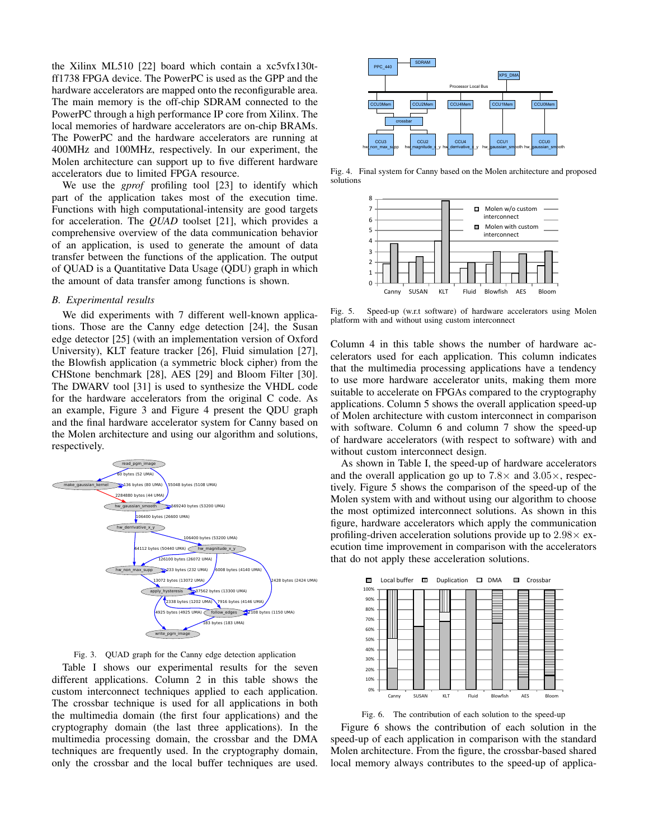the Xilinx ML510 [22] board which contain a xc5vfx130tff1738 FPGA device. The PowerPC is used as the GPP and the hardware accelerators are mapped onto the reconfigurable area. The main memory is the off-chip SDRAM connected to the PowerPC through a high performance IP core from Xilinx. The local memories of hardware accelerators are on-chip BRAMs. The PowerPC and the hardware accelerators are running at  $\frac{C_{\text{CUB}}}{\text{CQU2}}$ 400MHz and 100MHz, respectively. In our experiment, the Molen architecture can support up to five different hardware accelerators due to limited FPGA resource.

We use the *gprof* profiling tool [23] to identify which part of the application takes most of the execution time. Functions with high computational-intensity are good targets for acceleration. The *QUAD* toolset [21], which provides a comprehensive overview of the data communication behavior of an application, is used to generate the amount of data transfer between the functions of the application. The output of QUAD is a Quantitative Data Usage (QDU) graph in which the amount of data transfer among functions is shown.

# *B. Experimental results*

We did experiments with 7 different well-known applications. Those are the Canny edge detection [24], the Susan edge detector [25] (with an implementation version of Oxford University), KLT feature tracker [26], Fluid simulation [27], the Blowfish application (a symmetric block cipher) from the CHStone benchmark [28], AES [29] and Bloom Filter [30]. The DWARV tool [31] is used to synthesize the VHDL code for the hardware accelerators from the original C code. As an example, Figure 3 and Figure 4 present the QDU graph and the final hardware accelerator system for Canny based on the Molen architecture and using our algorithm and solutions, respectively.



Fig. 3. QUAD graph for the Canny edge detection application

Table I shows our experimental results for the seven different applications. Column 2 in this table shows the custom interconnect techniques applied to each application. The crossbar technique is used for all applications in both the multimedia domain (the first four applications) and the cryptography domain (the last three applications). In the multimedia processing domain, the crossbar and the DMA techniques are frequently used. In the cryptography domain, only the crossbar and the local buffer techniques are used.



Fig. 4. Final system for Canny based on the Molen architecture and proposed solutions



Fig. 5. Speed-up (w.r.t software) of hardware accelerators using Molen platform with and without using custom interconnect

Column 4 in this table shows the number of hardware accelerators used for each application. This column indicates that the multimedia processing applications have a tendency to use more hardware accelerator units, making them more suitable to accelerate on FPGAs compared to the cryptography applications. Column 5 shows the overall application speed-up of Molen architecture with custom interconnect in comparison with software. Column 6 and column 7 show the speed-up of hardware accelerators (with respect to software) with and without custom interconnect design.

As shown in Table I, the speed-up of hardware accelerators and the overall application go up to  $7.8\times$  and  $3.05\times$ , respectively. Figure 5 shows the comparison of the speed-up of the Molen system with and without using our algorithm to choose the most optimized interconnect solutions. As shown in this figure, hardware accelerators which apply the communication profiling-driven acceleration solutions provide up to  $2.98 \times$  execution time improvement in comparison with the accelerators that do not apply these acceleration solutions.



Fig. 6. The contribution of each solution to the speed-up

Figure 6 shows the contribution of each solution in the speed-up of each application in comparison with the standard Molen architecture. From the figure, the crossbar-based shared local memory always contributes to the speed-up of applica-